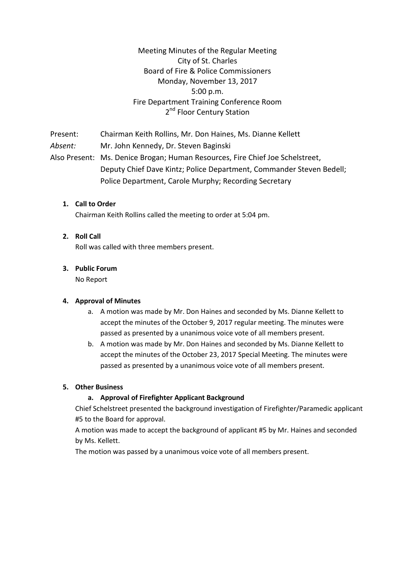Meeting Minutes of the Regular Meeting City of St. Charles Board of Fire & Police Commissioners Monday, November 13, 2017 5:00 p.m. Fire Department Training Conference Room 2<sup>nd</sup> Floor Century Station

Present: Chairman Keith Rollins, Mr*.* Don Haines, Ms. Dianne Kellett *Absent:* Mr. John Kennedy, Dr. Steven Baginski Also Present: Ms. Denice Brogan; Human Resources, Fire Chief Joe Schelstreet, Deputy Chief Dave Kintz; Police Department, Commander Steven Bedell; Police Department, Carole Murphy; Recording Secretary

## **1. Call to Order**

Chairman Keith Rollins called the meeting to order at 5:04 pm.

### **2. Roll Call**

Roll was called with three members present.

### **3. Public Forum**

No Report

### **4. Approval of Minutes**

- a. A motion was made by Mr. Don Haines and seconded by Ms. Dianne Kellett to accept the minutes of the October 9, 2017 regular meeting. The minutes were passed as presented by a unanimous voice vote of all members present.
- b. A motion was made by Mr. Don Haines and seconded by Ms. Dianne Kellett to accept the minutes of the October 23, 2017 Special Meeting. The minutes were passed as presented by a unanimous voice vote of all members present.

### **5. Other Business**

# **a. Approval of Firefighter Applicant Background**

Chief Schelstreet presented the background investigation of Firefighter/Paramedic applicant #5 to the Board for approval.

A motion was made to accept the background of applicant #5 by Mr. Haines and seconded by Ms. Kellett.

The motion was passed by a unanimous voice vote of all members present.